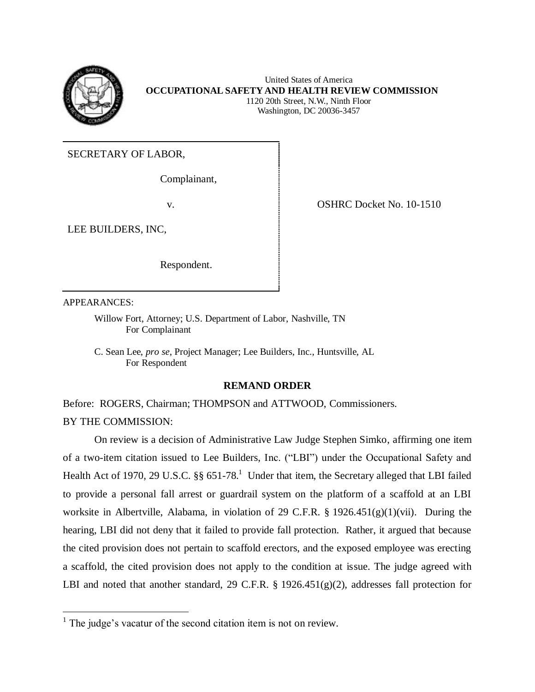

 United States of America  **OCCUPATIONAL SAFETY AND HEALTH REVIEW COMMISSION**  1120 20th Street, N.W., Ninth Floor Washington, DC 20036-3457

SECRETARY OF LABOR,

Complainant,

LEE BUILDERS, INC,

Respondent.

v. COSHRC Docket No. 10-1510

APPEARANCES:

 Willow Fort, Attorney; U.S. Department of Labor, Nashville, TN For Complainant

 C. Sean Lee, *pro se*, Project Manager; Lee Builders, Inc., Huntsville, AL For Respondent

## **REMAND ORDER**

Before: ROGERS, Chairman; THOMPSON and ATTWOOD, Commissioners.

BY THE COMMISSION:

 $\overline{a}$ 

 On review is a decision of Administrative Law Judge Stephen Simko, affirming one item of a two-item citation issued to Lee Builders, Inc. ("LBI") under the Occupational Safety and Health Act of 1970, 29 U.S.C.  $\S\S 651-78$ .<sup>1</sup> Under that item, the Secretary alleged that LBI failed to provide a personal fall arrest or guardrail system on the platform of a scaffold at an LBI worksite in Albertville, Alabama, in violation of 29 C.F.R. § 1926.451(g)(1)(vii). During the hearing, LBI did not deny that it failed to provide fall protection. Rather, it argued that because the cited provision does not pertain to scaffold erectors, and the exposed employee was erecting a scaffold, the cited provision does not apply to the condition at issue. The judge agreed with LBI and noted that another standard, 29 C.F.R. § 1926.451(g)(2), addresses fall protection for

 $<sup>1</sup>$  The judge's vacatur of the second citation item is not on review.</sup>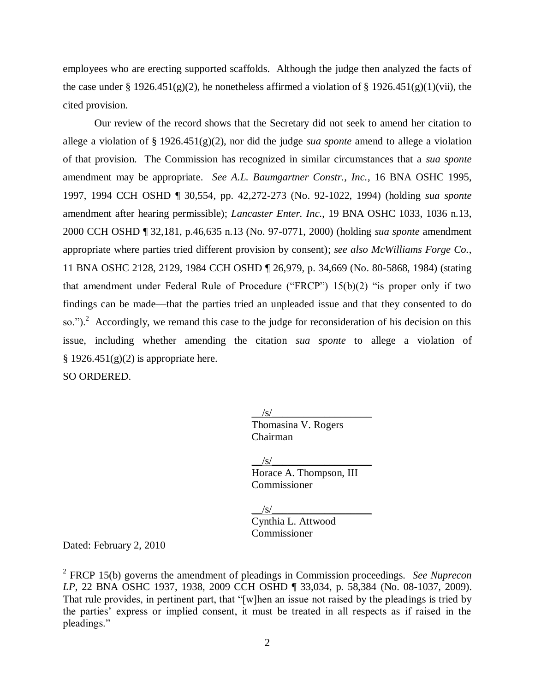employees who are erecting supported scaffolds. Although the judge then analyzed the facts of the case under § 1926.451(g)(2), he nonetheless affirmed a violation of § 1926.451(g)(1)(vii), the cited provision.

 cited provision. Our review of the record shows that the Secretary did not seek to amend her citation to allege a violation of § 1926.451(g)(2), nor did the judge *sua sponte* amend to allege a violation of that provision. The Commission has recognized in similar circumstances that a *sua sponte*  amendment may be appropriate. *See A.L. Baumgartner Constr., Inc.*, 16 BNA OSHC 1995, 1997, 1994 CCH OSHD ¶ 30,554, pp. 42,272-273 (No. 92-1022, 1994) (holding *sua sponte*  amendment after hearing permissible); *Lancaster Enter. Inc.*, 19 BNA OSHC 1033, 1036 n.13, 2000 CCH OSHD ¶ 32,181, p.46,635 n.13 (No. 97-0771, 2000) (holding *sua sponte* amendment appropriate where parties tried different provision by consent); *see also McWilliams Forge Co.*, 11 BNA OSHC 2128, 2129, 1984 CCH OSHD ¶ 26,979, p. 34,669 (No. 80-5868, 1984) (stating that amendment under Federal Rule of Procedure ("FRCP") 15(b)(2) "is proper only if two findings can be made—that the parties tried an unpleaded issue and that they consented to do so.").<sup>2</sup> Accordingly, we remand this case to the judge for reconsideration of his decision on this issue, including whether amending the citation *sua sponte* to allege a violation of  $§$  1926.451(g)(2) is appropriate here.

SO ORDERED.

 $/\mathrm{s}/$ Thomasina V. Rogers Chairman

 $/\mathrm{s}/$ 

 Horace A. Thompson, III Commissioner

\_\_/s/\_\_\_\_\_\_\_\_\_\_\_\_\_\_\_\_\_\_\_

 Cynthia L. Attwood Commissioner

Dated: February 2, 2010

 $\overline{a}$ 

 2 FRCP 15(b) governs the amendment of pleadings in Commission proceedings. *See Nuprecon LP*, 22 BNA OSHC 1937, 1938, 2009 CCH OSHD ¶ 33,034, p. 58,384 (No. 08-1037, 2009). That rule provides, in pertinent part, that "[w]hen an issue not raised by the pleadings is tried by the parties' express or implied consent, it must be treated in all respects as if raised in the pleadings."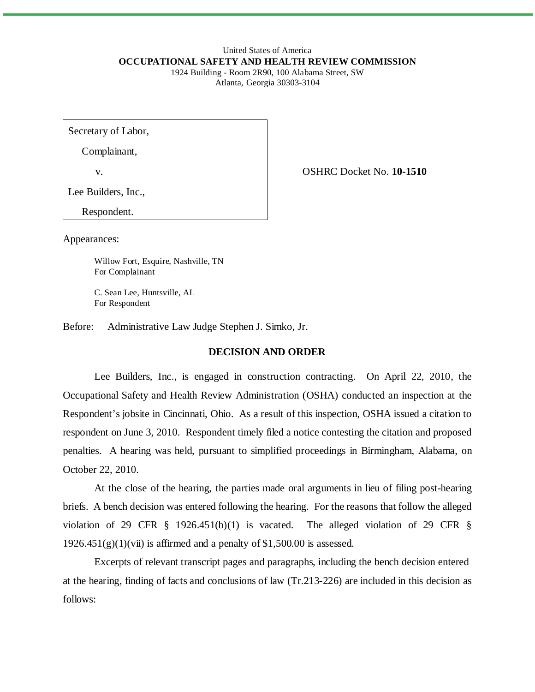#### United States of America **OCCUPATIONAL SAFETY AND HEALTH REVIEW COMMISSION** 1924 Building - Room 2R90, 100 Alabama Street, SW Atlanta, Georgia 30303-3104

Secretary of Labor,

Complainant,

v. OSHRC Docket No. **10-1510** 

Lee Builders, Inc.,

Respondent.

Appearances:

Willow Fort, Esquire, Nashville, TN For Complainant

C. Sean Lee, Huntsville, AL For Respondent

Before: Administrative Law Judge Stephen J. Simko, Jr.

# **DECISION AND ORDER**

Lee Builders, Inc., is engaged in construction contracting. On April 22, 2010, the Occupational Safety and Health Review Administration (OSHA) conducted an inspection at the Respondent's jobsite in Cincinnati, Ohio. As a result of this inspection, OSHA issued a citation to respondent on June 3, 2010. Respondent timely filed a notice contesting the citation and proposed penalties. A hearing was held, pursuant to simplified proceedings in Birmingham, Alabama, on October 22, 2010.

At the close of the hearing, the parties made oral arguments in lieu of filing post-hearing briefs. A bench decision was entered following the hearing. For the reasons that follow the alleged violation of 29 CFR § 1926.451(b)(1) is vacated. The alleged violation of 29 CFR §  $1926.451(g)(1)(vii)$  is affirmed and a penalty of \$1,500.00 is assessed.

Excerpts of relevant transcript pages and paragraphs, including the bench decision entered at the hearing, finding of facts and conclusions of law (Tr.213-226) are included in this decision as follows: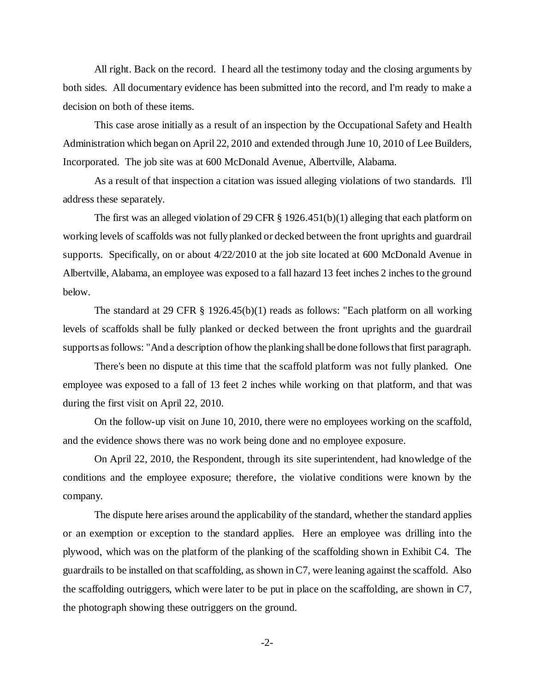All right. Back on the record. I heard all the testimony today and the closing arguments by both sides. All documentary evidence has been submitted into the record, and I'm ready to make a decision on both of these items.

This case arose initially as a result of an inspection by the Occupational Safety and Health Administration which began on April 22, 2010 and extended through June 10, 2010 of Lee Builders, Incorporated. The job site was at 600 McDonald Avenue, Albertville, Alabama.

As a result of that inspection a citation was issued alleging violations of two standards. I'll address these separately.

The first was an alleged violation of 29 CFR § 1926.451(b)(1) alleging that each platform on working levels of scaffolds was not fully planked or decked between the front uprights and guardrail supports. Specifically, on or about 4/22/2010 at the job site located at 600 McDonald Avenue in Albertville, Alabama, an employee was exposed to a fall hazard 13 feet inches 2 inches to the ground below.

The standard at 29 CFR § 1926.45(b)(1) reads as follows: "Each platform on all working levels of scaffolds shall be fully planked or decked between the front uprights and the guardrail supports as follows: "And a description of how the planking shall be done follows that first paragraph.

There's been no dispute at this time that the scaffold platform was not fully planked. One employee was exposed to a fall of 13 feet 2 inches while working on that platform, and that was during the first visit on April 22, 2010.

On the follow-up visit on June 10, 2010, there were no employees working on the scaffold, and the evidence shows there was no work being done and no employee exposure.

On April 22, 2010, the Respondent, through its site superintendent, had knowledge of the conditions and the employee exposure; therefore, the violative conditions were known by the company.

The dispute here arises around the applicability of the standard, whether the standard applies or an exemption or exception to the standard applies. Here an employee was drilling into the plywood, which was on the platform of the planking of the scaffolding shown in Exhibit C4. The guardrails to be installed on that scaffolding, as shown in C7, were leaning against the scaffold. Also the scaffolding outriggers, which were later to be put in place on the scaffolding, are shown in C7, the photograph showing these outriggers on the ground.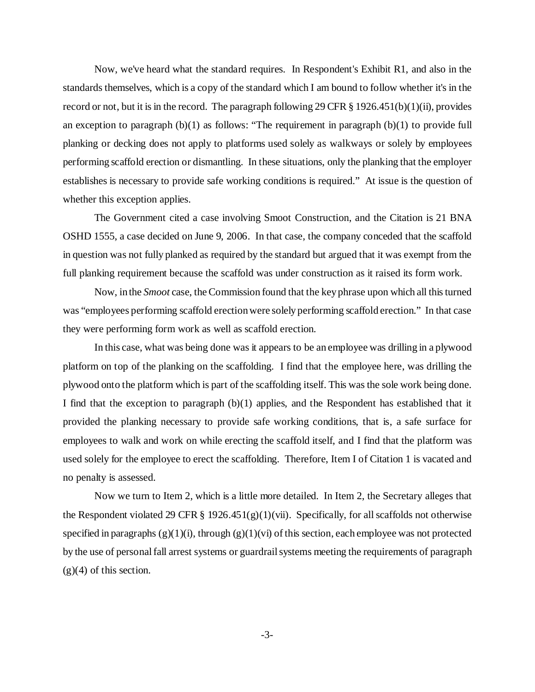Now, we've heard what the standard requires. In Respondent's Exhibit R1, and also in the standards themselves, which is a copy of the standard which I am bound to follow whether it's in the record or not, but it is in the record. The paragraph following 29 CFR § 1926.451(b)(1)(ii), provides an exception to paragraph  $(b)(1)$  as follows: "The requirement in paragraph  $(b)(1)$  to provide full planking or decking does not apply to platforms used solely as walkways or solely by employees performing scaffold erection or dismantling. In these situations, only the planking that the employer establishes is necessary to provide safe working conditions is required." At issue is the question of whether this exception applies.

The Government cited a case involving Smoot Construction, and the Citation is 21 BNA OSHD 1555, a case decided on June 9, 2006. In that case, the company conceded that the scaffold in question was not fully planked as required by the standard but argued that it was exempt from the full planking requirement because the scaffold was under construction as it raised its form work.

Now, in the *Smoot* case, the Commission found that the key phrase upon which all this turned was "employees performing scaffold erection were solely performing scaffold erection." In that case they were performing form work as well as scaffold erection.

In this case, what was being done was it appears to be an employee was drilling in a plywood platform on top of the planking on the scaffolding. I find that the employee here, was drilling the plywood onto the platform which is part of the scaffolding itself. This was the sole work being done. I find that the exception to paragraph (b)(1) applies, and the Respondent has established that it provided the planking necessary to provide safe working conditions, that is, a safe surface for employees to walk and work on while erecting the scaffold itself, and I find that the platform was used solely for the employee to erect the scaffolding. Therefore, Item I of Citation 1 is vacated and no penalty is assessed.

Now we turn to Item 2, which is a little more detailed. In Item 2, the Secretary alleges that the Respondent violated 29 CFR § 1926.451(g)(1)(vii). Specifically, for all scaffolds not otherwise specified in paragraphs  $(g)(1)(i)$ , through  $(g)(1)(vi)$  of this section, each employee was not protected by the use of personal fall arrest systems or guardrail systems meeting the requirements of paragraph  $(g)(4)$  of this section.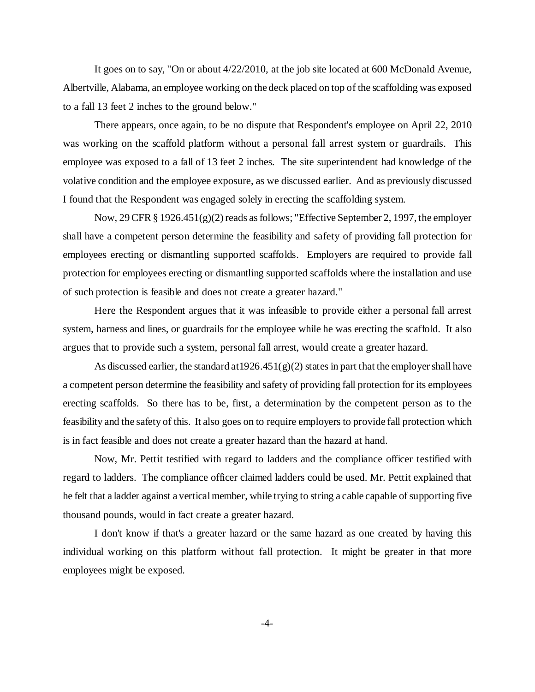It goes on to say, "On or about 4/22/2010, at the job site located at 600 McDonald Avenue, Albertville, Alabama, an employee working on the deck placed on top of the scaffolding was exposed to a fall 13 feet 2 inches to the ground below."

There appears, once again, to be no dispute that Respondent's employee on April 22, 2010 was working on the scaffold platform without a personal fall arrest system or guardrails. This employee was exposed to a fall of 13 feet 2 inches. The site superintendent had knowledge of the volative condition and the employee exposure, as we discussed earlier. And as previously discussed I found that the Respondent was engaged solely in erecting the scaffolding system.

Now, 29 CFR  $\S 1926.451(g)(2)$  reads as follows; "Effective September 2, 1997, the employer shall have a competent person determine the feasibility and safety of providing fall protection for employees erecting or dismantling supported scaffolds. Employers are required to provide fall protection for employees erecting or dismantling supported scaffolds where the installation and use of such protection is feasible and does not create a greater hazard."

Here the Respondent argues that it was infeasible to provide either a personal fall arrest system, harness and lines, or guardrails for the employee while he was erecting the scaffold. It also argues that to provide such a system, personal fall arrest, would create a greater hazard.

As discussed earlier, the standard at  $1926.451(g)(2)$  states in part that the employer shall have a competent person determine the feasibility and safety of providing fall protection for its employees erecting scaffolds. So there has to be, first, a determination by the competent person as to the feasibility and the safety of this. It also goes on to require employers to provide fall protection which is in fact feasible and does not create a greater hazard than the hazard at hand.

Now, Mr. Pettit testified with regard to ladders and the compliance officer testified with regard to ladders. The compliance officer claimed ladders could be used. Mr. Pettit explained that he felt that a ladder against a vertical member, while trying to string a cable capable of supporting five thousand pounds, would in fact create a greater hazard.

I don't know if that's a greater hazard or the same hazard as one created by having this individual working on this platform without fall protection. It might be greater in that more employees might be exposed.

 $-4-$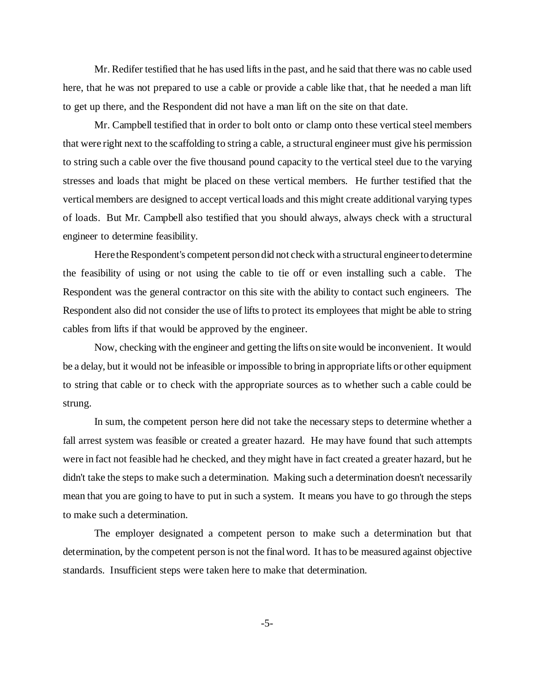Mr. Redifer testified that he has used lifts in the past, and he said that there was no cable used here, that he was not prepared to use a cable or provide a cable like that, that he needed a man lift to get up there, and the Respondent did not have a man lift on the site on that date.

Mr. Campbell testified that in order to bolt onto or clamp onto these vertical steel members that were right next to the scaffolding to string a cable, a structural engineer must give his permission to string such a cable over the five thousand pound capacity to the vertical steel due to the varying stresses and loads that might be placed on these vertical members. He further testified that the vertical members are designed to accept vertical loads and this might create additional varying types of loads. But Mr. Campbell also testified that you should always, always check with a structural engineer to determine feasibility.

Here the Respondent's competent person did not check with a structural engineer to determine the feasibility of using or not using the cable to tie off or even installing such a cable. The Respondent was the general contractor on this site with the ability to contact such engineers. The Respondent also did not consider the use of lifts to protect its employees that might be able to string cables from lifts if that would be approved by the engineer.

Now, checking with the engineer and getting the lifts on site would be inconvenient. It would be a delay, but it would not be infeasible or impossible to bring in appropriate lifts or other equipment to string that cable or to check with the appropriate sources as to whether such a cable could be strung.

In sum, the competent person here did not take the necessary steps to determine whether a fall arrest system was feasible or created a greater hazard. He may have found that such attempts were in fact not feasible had he checked, and they might have in fact created a greater hazard, but he didn't take the steps to make such a determination. Making such a determination doesn't necessarily mean that you are going to have to put in such a system. It means you have to go through the steps to make such a determination.

The employer designated a competent person to make such a determination but that determination, by the competent person is not the final word. It has to be measured against objective standards. Insufficient steps were taken here to make that determination.